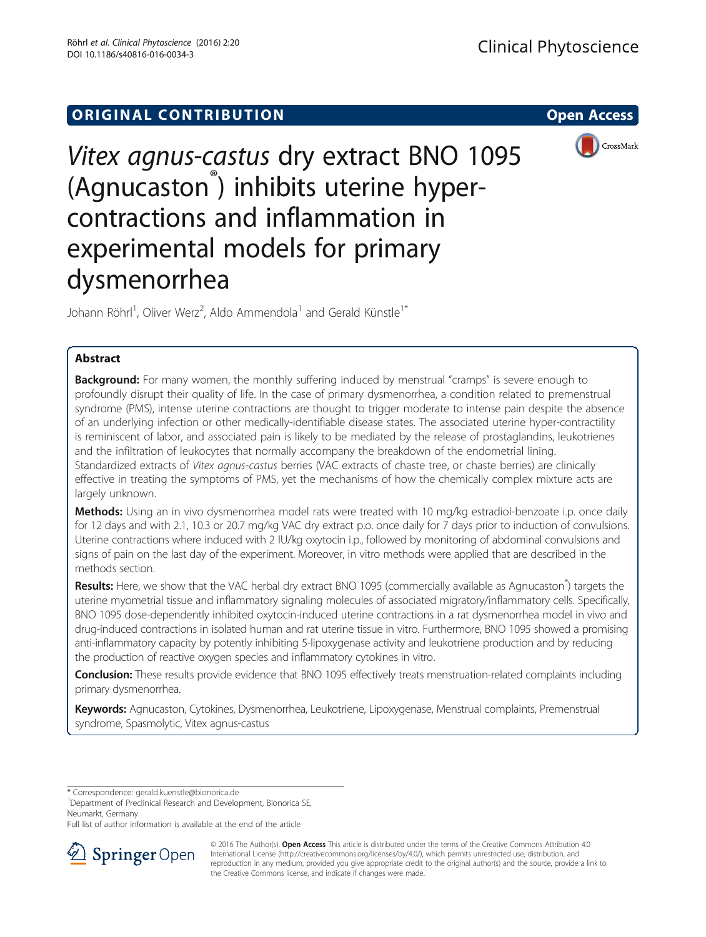## **ORIGINAL CONTRIBUTION CONTRIBUTION**



# Vitex agnus-castus dry extract BNO 1095 (Agnucaston® ) inhibits uterine hypercontractions and inflammation in experimental models for primary dysmenorrhea

Johann Röhrl<sup>1</sup>, Oliver Werz<sup>2</sup>, Aldo Ammendola<sup>1</sup> and Gerald Künstle<sup>1\*</sup>

## Abstract

**Background:** For many women, the monthly suffering induced by menstrual "cramps" is severe enough to profoundly disrupt their quality of life. In the case of primary dysmenorrhea, a condition related to premenstrual syndrome (PMS), intense uterine contractions are thought to trigger moderate to intense pain despite the absence of an underlying infection or other medically-identifiable disease states. The associated uterine hyper-contractility is reminiscent of labor, and associated pain is likely to be mediated by the release of prostaglandins, leukotrienes and the infiltration of leukocytes that normally accompany the breakdown of the endometrial lining. Standardized extracts of Vitex agnus-castus berries (VAC extracts of chaste tree, or chaste berries) are clinically effective in treating the symptoms of PMS, yet the mechanisms of how the chemically complex mixture acts are largely unknown.

Methods: Using an in vivo dysmenorrhea model rats were treated with 10 mg/kg estradiol-benzoate i.p. once daily for 12 days and with 2.1, 10.3 or 20.7 mg/kg VAC dry extract p.o. once daily for 7 days prior to induction of convulsions. Uterine contractions where induced with 2 IU/kg oxytocin i.p., followed by monitoring of abdominal convulsions and signs of pain on the last day of the experiment. Moreover, in vitro methods were applied that are described in the methods section.

Results: Here, we show that the VAC herbal dry extract BNO 1095 (commercially available as Agnucaston<sup>®</sup>) targets the uterine myometrial tissue and inflammatory signaling molecules of associated migratory/inflammatory cells. Specifically, BNO 1095 dose-dependently inhibited oxytocin-induced uterine contractions in a rat dysmenorrhea model in vivo and drug-induced contractions in isolated human and rat uterine tissue in vitro. Furthermore, BNO 1095 showed a promising anti-inflammatory capacity by potently inhibiting 5-lipoxygenase activity and leukotriene production and by reducing the production of reactive oxygen species and inflammatory cytokines in vitro.

Conclusion: These results provide evidence that BNO 1095 effectively treats menstruation-related complaints including primary dysmenorrhea.

Keywords: Agnucaston, Cytokines, Dysmenorrhea, Leukotriene, Lipoxygenase, Menstrual complaints, Premenstrual syndrome, Spasmolytic, Vitex agnus-castus

\* Correspondence: [gerald.kuenstle@bionorica.de](mailto:gerald.kuenstle@bionorica.de) <sup>1</sup>

<sup>1</sup>Department of Preclinical Research and Development, Bionorica SE, Neumarkt, Germany

Full list of author information is available at the end of the article



© 2016 The Author(s). Open Access This article is distributed under the terms of the Creative Commons Attribution 4.0 International License ([http://creativecommons.org/licenses/by/4.0/\)](http://creativecommons.org/licenses/by/4.0/), which permits unrestricted use, distribution, and reproduction in any medium, provided you give appropriate credit to the original author(s) and the source, provide a link to the Creative Commons license, and indicate if changes were made.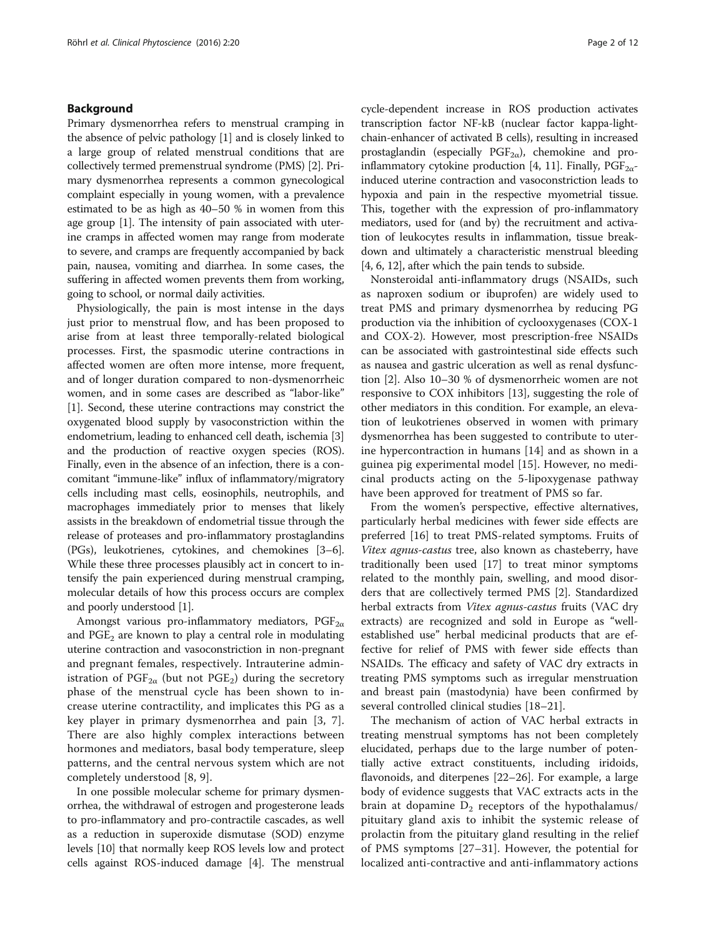#### Background

Primary dysmenorrhea refers to menstrual cramping in the absence of pelvic pathology [\[1\]](#page-10-0) and is closely linked to a large group of related menstrual conditions that are collectively termed premenstrual syndrome (PMS) [\[2\]](#page-10-0). Primary dysmenorrhea represents a common gynecological complaint especially in young women, with a prevalence estimated to be as high as 40–50 % in women from this age group [[1](#page-10-0)]. The intensity of pain associated with uterine cramps in affected women may range from moderate to severe, and cramps are frequently accompanied by back pain, nausea, vomiting and diarrhea. In some cases, the suffering in affected women prevents them from working, going to school, or normal daily activities.

Physiologically, the pain is most intense in the days just prior to menstrual flow, and has been proposed to arise from at least three temporally-related biological processes. First, the spasmodic uterine contractions in affected women are often more intense, more frequent, and of longer duration compared to non-dysmenorrheic women, and in some cases are described as "labor-like" [[1\]](#page-10-0). Second, these uterine contractions may constrict the oxygenated blood supply by vasoconstriction within the endometrium, leading to enhanced cell death, ischemia [[3](#page-10-0)] and the production of reactive oxygen species (ROS). Finally, even in the absence of an infection, there is a concomitant "immune-like" influx of inflammatory/migratory cells including mast cells, eosinophils, neutrophils, and macrophages immediately prior to menses that likely assists in the breakdown of endometrial tissue through the release of proteases and pro-inflammatory prostaglandins (PGs), leukotrienes, cytokines, and chemokines [[3](#page-10-0)–[6](#page-10-0)]. While these three processes plausibly act in concert to intensify the pain experienced during menstrual cramping, molecular details of how this process occurs are complex and poorly understood [[1](#page-10-0)].

Amongst various pro-inflammatory mediators,  $PGF_{2\alpha}$ and  $PGE<sub>2</sub>$  are known to play a central role in modulating uterine contraction and vasoconstriction in non-pregnant and pregnant females, respectively. Intrauterine administration of  $PGF_{2\alpha}$  (but not  $PGE_2$ ) during the secretory phase of the menstrual cycle has been shown to increase uterine contractility, and implicates this PG as a key player in primary dysmenorrhea and pain [[3, 7](#page-10-0)]. There are also highly complex interactions between hormones and mediators, basal body temperature, sleep patterns, and the central nervous system which are not completely understood [\[8](#page-10-0), [9\]](#page-10-0).

In one possible molecular scheme for primary dysmenorrhea, the withdrawal of estrogen and progesterone leads to pro-inflammatory and pro-contractile cascades, as well as a reduction in superoxide dismutase (SOD) enzyme levels [[10](#page-10-0)] that normally keep ROS levels low and protect cells against ROS-induced damage [[4\]](#page-10-0). The menstrual cycle-dependent increase in ROS production activates transcription factor NF-kB (nuclear factor kappa-lightchain-enhancer of activated B cells), resulting in increased prostaglandin (especially  $PGF_{2\alpha}$ ), chemokine and pro-inflammatory cytokine production [[4](#page-10-0), [11\]](#page-10-0). Finally,  $PGF_{2\alpha}$ induced uterine contraction and vasoconstriction leads to hypoxia and pain in the respective myometrial tissue. This, together with the expression of pro-inflammatory mediators, used for (and by) the recruitment and activation of leukocytes results in inflammation, tissue breakdown and ultimately a characteristic menstrual bleeding [[4, 6](#page-10-0), [12](#page-10-0)], after which the pain tends to subside.

Nonsteroidal anti-inflammatory drugs (NSAIDs, such as naproxen sodium or ibuprofen) are widely used to treat PMS and primary dysmenorrhea by reducing PG production via the inhibition of cyclooxygenases (COX-1 and COX-2). However, most prescription-free NSAIDs can be associated with gastrointestinal side effects such as nausea and gastric ulceration as well as renal dysfunction [\[2](#page-10-0)]. Also 10–30 % of dysmenorrheic women are not responsive to COX inhibitors [[13\]](#page-10-0), suggesting the role of other mediators in this condition. For example, an elevation of leukotrienes observed in women with primary dysmenorrhea has been suggested to contribute to uterine hypercontraction in humans [[14\]](#page-10-0) and as shown in a guinea pig experimental model [\[15](#page-10-0)]. However, no medicinal products acting on the 5-lipoxygenase pathway have been approved for treatment of PMS so far.

From the women's perspective, effective alternatives, particularly herbal medicines with fewer side effects are preferred [\[16\]](#page-10-0) to treat PMS-related symptoms. Fruits of Vitex agnus-castus tree, also known as chasteberry, have traditionally been used [[17\]](#page-10-0) to treat minor symptoms related to the monthly pain, swelling, and mood disorders that are collectively termed PMS [\[2](#page-10-0)]. Standardized herbal extracts from Vitex agnus-castus fruits (VAC dry extracts) are recognized and sold in Europe as "wellestablished use" herbal medicinal products that are effective for relief of PMS with fewer side effects than NSAIDs. The efficacy and safety of VAC dry extracts in treating PMS symptoms such as irregular menstruation and breast pain (mastodynia) have been confirmed by several controlled clinical studies [\[18](#page-10-0)–[21\]](#page-10-0).

The mechanism of action of VAC herbal extracts in treating menstrual symptoms has not been completely elucidated, perhaps due to the large number of potentially active extract constituents, including iridoids, flavonoids, and diterpenes [\[22](#page-10-0)–[26](#page-10-0)]. For example, a large body of evidence suggests that VAC extracts acts in the brain at dopamine  $D_2$  receptors of the hypothalamus/ pituitary gland axis to inhibit the systemic release of prolactin from the pituitary gland resulting in the relief of PMS symptoms [[27](#page-10-0)–[31\]](#page-10-0). However, the potential for localized anti-contractive and anti-inflammatory actions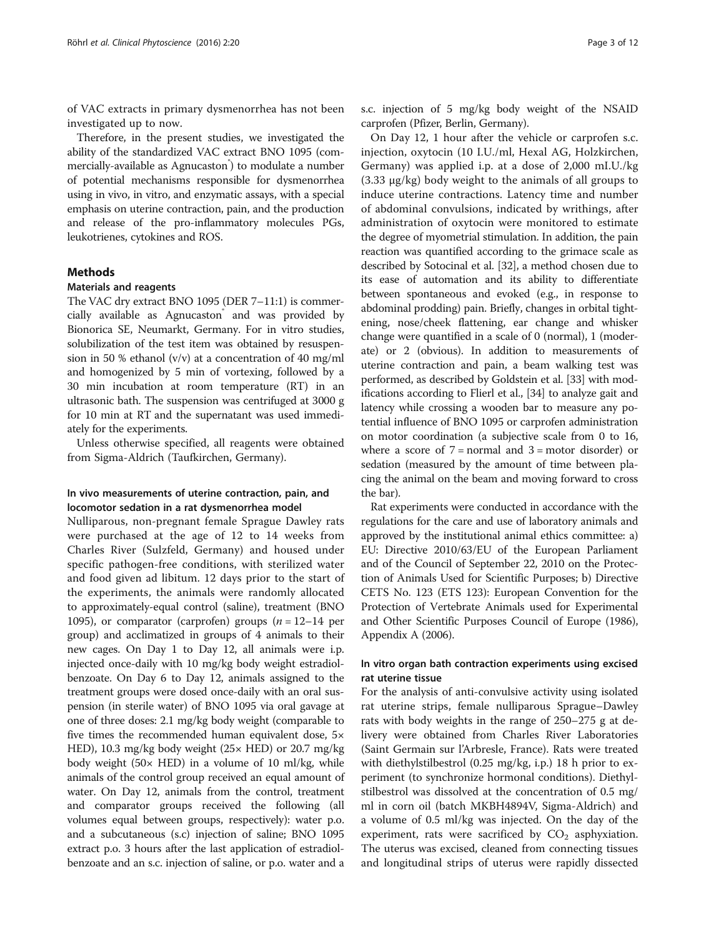of VAC extracts in primary dysmenorrhea has not been investigated up to now.

Therefore, in the present studies, we investigated the ability of the standardized VAC extract BNO 1095 (commercially-available as Agnucaston® ) to modulate a number of potential mechanisms responsible for dysmenorrhea using in vivo, in vitro, and enzymatic assays, with a special emphasis on uterine contraction, pain, and the production and release of the pro-inflammatory molecules PGs, leukotrienes, cytokines and ROS.

#### Methods

#### Materials and reagents

The VAC dry extract BNO 1095 (DER 7–11:1) is commercially available as Agnucaston and was provided by Bionorica SE, Neumarkt, Germany. For in vitro studies, solubilization of the test item was obtained by resuspension in 50 % ethanol  $(v/v)$  at a concentration of 40 mg/ml and homogenized by 5 min of vortexing, followed by a 30 min incubation at room temperature (RT) in an ultrasonic bath. The suspension was centrifuged at 3000 g for 10 min at RT and the supernatant was used immediately for the experiments.

Unless otherwise specified, all reagents were obtained from Sigma-Aldrich (Taufkirchen, Germany).

## In vivo measurements of uterine contraction, pain, and locomotor sedation in a rat dysmenorrhea model

Nulliparous, non-pregnant female Sprague Dawley rats were purchased at the age of 12 to 14 weeks from Charles River (Sulzfeld, Germany) and housed under specific pathogen-free conditions, with sterilized water and food given ad libitum. 12 days prior to the start of the experiments, the animals were randomly allocated to approximately-equal control (saline), treatment (BNO 1095), or comparator (carprofen) groups  $(n = 12-14$  per group) and acclimatized in groups of 4 animals to their new cages. On Day 1 to Day 12, all animals were i.p. injected once-daily with 10 mg/kg body weight estradiolbenzoate. On Day 6 to Day 12, animals assigned to the treatment groups were dosed once-daily with an oral suspension (in sterile water) of BNO 1095 via oral gavage at one of three doses: 2.1 mg/kg body weight (comparable to five times the recommended human equivalent dose, 5× HED), 10.3 mg/kg body weight (25× HED) or 20.7 mg/kg body weight (50 $\times$  HED) in a volume of 10 ml/kg, while animals of the control group received an equal amount of water. On Day 12, animals from the control, treatment and comparator groups received the following (all volumes equal between groups, respectively): water p.o. and a subcutaneous (s.c) injection of saline; BNO 1095 extract p.o. 3 hours after the last application of estradiolbenzoate and an s.c. injection of saline, or p.o. water and a s.c. injection of 5 mg/kg body weight of the NSAID carprofen (Pfizer, Berlin, Germany).

On Day 12, 1 hour after the vehicle or carprofen s.c. injection, oxytocin (10 I.U./ml, Hexal AG, Holzkirchen, Germany) was applied i.p. at a dose of 2,000 mI.U./kg (3.33 μg/kg) body weight to the animals of all groups to induce uterine contractions. Latency time and number of abdominal convulsions, indicated by writhings, after administration of oxytocin were monitored to estimate the degree of myometrial stimulation. In addition, the pain reaction was quantified according to the grimace scale as described by Sotocinal et al. [\[32\]](#page-10-0), a method chosen due to its ease of automation and its ability to differentiate between spontaneous and evoked (e.g., in response to abdominal prodding) pain. Briefly, changes in orbital tightening, nose/cheek flattening, ear change and whisker change were quantified in a scale of 0 (normal), 1 (moderate) or 2 (obvious). In addition to measurements of uterine contraction and pain, a beam walking test was performed, as described by Goldstein et al. [\[33\]](#page-10-0) with modifications according to Flierl et al., [\[34\]](#page-10-0) to analyze gait and latency while crossing a wooden bar to measure any potential influence of BNO 1095 or carprofen administration on motor coordination (a subjective scale from 0 to 16, where a score of  $7 = normal$  and  $3 = motor$  disorder) or sedation (measured by the amount of time between placing the animal on the beam and moving forward to cross the bar).

Rat experiments were conducted in accordance with the regulations for the care and use of laboratory animals and approved by the institutional animal ethics committee: a) EU: Directive 2010/63/EU of the European Parliament and of the Council of September 22, 2010 on the Protection of Animals Used for Scientific Purposes; b) Directive CETS No. 123 (ETS 123): European Convention for the Protection of Vertebrate Animals used for Experimental and Other Scientific Purposes Council of Europe (1986), Appendix A (2006).

#### In vitro organ bath contraction experiments using excised rat uterine tissue

For the analysis of anti-convulsive activity using isolated rat uterine strips, female nulliparous Sprague–Dawley rats with body weights in the range of 250–275 g at delivery were obtained from Charles River Laboratories (Saint Germain sur l'Arbresle, France). Rats were treated with diethylstilbestrol (0.25 mg/kg, i.p.) 18 h prior to experiment (to synchronize hormonal conditions). Diethylstilbestrol was dissolved at the concentration of 0.5 mg/ ml in corn oil (batch MKBH4894V, Sigma-Aldrich) and a volume of 0.5 ml/kg was injected. On the day of the experiment, rats were sacrificed by  $CO<sub>2</sub>$  asphyxiation. The uterus was excised, cleaned from connecting tissues and longitudinal strips of uterus were rapidly dissected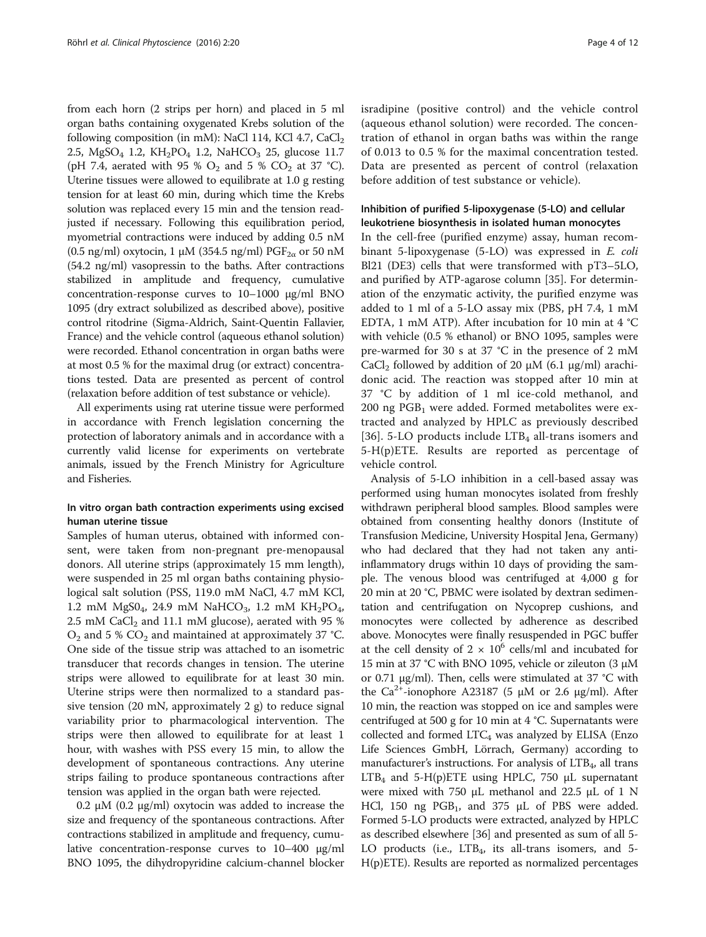from each horn (2 strips per horn) and placed in 5 ml organ baths containing oxygenated Krebs solution of the following composition (in mM): NaCl 114, KCl 4.7,  $CaCl<sub>2</sub>$ 2.5, MgSO<sub>4</sub> 1.2, KH<sub>2</sub>PO<sub>4</sub> 1.2, NaHCO<sub>3</sub> 25, glucose 11.7 (pH 7.4, aerated with 95 %  $O_2$  and 5 %  $CO_2$  at 37 °C). Uterine tissues were allowed to equilibrate at 1.0 g resting tension for at least 60 min, during which time the Krebs solution was replaced every 15 min and the tension readjusted if necessary. Following this equilibration period, myometrial contractions were induced by adding 0.5 nM (0.5 ng/ml) oxytocin, 1  $\mu$ M (354.5 ng/ml) PGF<sub>2 $\alpha$ </sub> or 50 nM (54.2 ng/ml) vasopressin to the baths. After contractions stabilized in amplitude and frequency, cumulative concentration-response curves to 10–1000 μg/ml BNO 1095 (dry extract solubilized as described above), positive control ritodrine (Sigma-Aldrich, Saint-Quentin Fallavier, France) and the vehicle control (aqueous ethanol solution) were recorded. Ethanol concentration in organ baths were at most 0.5 % for the maximal drug (or extract) concentrations tested. Data are presented as percent of control (relaxation before addition of test substance or vehicle).

All experiments using rat uterine tissue were performed in accordance with French legislation concerning the protection of laboratory animals and in accordance with a currently valid license for experiments on vertebrate animals, issued by the French Ministry for Agriculture and Fisheries.

#### In vitro organ bath contraction experiments using excised human uterine tissue

Samples of human uterus, obtained with informed consent, were taken from non-pregnant pre-menopausal donors. All uterine strips (approximately 15 mm length), were suspended in 25 ml organ baths containing physiological salt solution (PSS, 119.0 mM NaCl, 4.7 mM KCl, 1.2 mM  $MgS0_4$ , 24.9 mM NaHCO<sub>3</sub>, 1.2 mM  $KH_2PO_4$ , 2.5 mM CaCl<sub>2</sub> and 11.1 mM glucose), aerated with 95 %  $O_2$  and 5 %  $CO_2$  and maintained at approximately 37 °C. One side of the tissue strip was attached to an isometric transducer that records changes in tension. The uterine strips were allowed to equilibrate for at least 30 min. Uterine strips were then normalized to a standard passive tension (20 mN, approximately 2 g) to reduce signal variability prior to pharmacological intervention. The strips were then allowed to equilibrate for at least 1 hour, with washes with PSS every 15 min, to allow the development of spontaneous contractions. Any uterine strips failing to produce spontaneous contractions after tension was applied in the organ bath were rejected.

0.2 μM (0.2 μg/ml) oxytocin was added to increase the size and frequency of the spontaneous contractions. After contractions stabilized in amplitude and frequency, cumulative concentration-response curves to 10–400 μg/ml BNO 1095, the dihydropyridine calcium-channel blocker isradipine (positive control) and the vehicle control (aqueous ethanol solution) were recorded. The concentration of ethanol in organ baths was within the range of 0.013 to 0.5 % for the maximal concentration tested. Data are presented as percent of control (relaxation before addition of test substance or vehicle).

## Inhibition of purified 5-lipoxygenase (5-LO) and cellular leukotriene biosynthesis in isolated human monocytes

In the cell-free (purified enzyme) assay, human recombinant 5-lipoxygenase (5-LO) was expressed in E. coli Bl21 (DE3) cells that were transformed with pT3–5LO, and purified by ATP-agarose column [[35\]](#page-10-0). For determination of the enzymatic activity, the purified enzyme was added to 1 ml of a 5-LO assay mix (PBS, pH 7.4, 1 mM EDTA, 1 mM ATP). After incubation for 10 min at 4 °C with vehicle (0.5 % ethanol) or BNO 1095, samples were pre-warmed for 30 s at 37 °C in the presence of 2 mM CaCl<sub>2</sub> followed by addition of 20  $\mu$ M (6.1  $\mu$ g/ml) arachidonic acid. The reaction was stopped after 10 min at 37 °C by addition of 1 ml ice-cold methanol, and  $200$  ng PGB<sub>1</sub> were added. Formed metabolites were extracted and analyzed by HPLC as previously described [[36\]](#page-10-0). 5-LO products include  $LTB<sub>4</sub>$  all-trans isomers and 5-H(p)ETE. Results are reported as percentage of vehicle control.

Analysis of 5-LO inhibition in a cell-based assay was performed using human monocytes isolated from freshly withdrawn peripheral blood samples. Blood samples were obtained from consenting healthy donors (Institute of Transfusion Medicine, University Hospital Jena, Germany) who had declared that they had not taken any antiinflammatory drugs within 10 days of providing the sample. The venous blood was centrifuged at 4,000 g for 20 min at 20 °C, PBMC were isolated by dextran sedimentation and centrifugation on Nycoprep cushions, and monocytes were collected by adherence as described above. Monocytes were finally resuspended in PGC buffer at the cell density of  $2 \times 10^6$  cells/ml and incubated for 15 min at 37 °C with BNO 1095, vehicle or zileuton (3 μM or 0.71 μg/ml). Then, cells were stimulated at 37 °C with the Ca<sup>2+</sup>-ionophore A23187 (5 μM or 2.6 μg/ml). After 10 min, the reaction was stopped on ice and samples were centrifuged at 500 g for 10 min at 4 °C. Supernatants were collected and formed  $LTC_4$  was analyzed by ELISA (Enzo Life Sciences GmbH, Lörrach, Germany) according to manufacturer's instructions. For analysis of  $LTB<sub>4</sub>$ , all trans  $LTB<sub>4</sub>$  and 5-H(p)ETE using HPLC, 750  $\mu$ L supernatant were mixed with 750  $\mu$ L methanol and 22.5  $\mu$ L of 1 N HCl, 150 ng PGB<sub>1</sub>, and 375 μL of PBS were added. Formed 5-LO products were extracted, analyzed by HPLC as described elsewhere [\[36](#page-10-0)] and presented as sum of all 5- LO products (i.e.,  $LTB<sub>4</sub>$ , its all-trans isomers, and 5-H(p)ETE). Results are reported as normalized percentages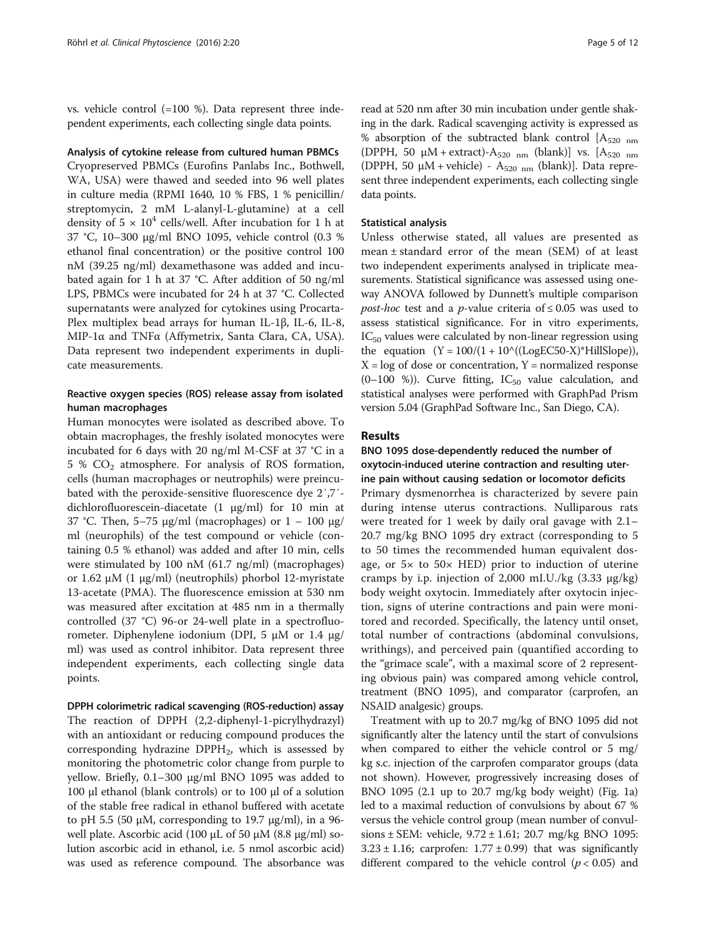vs. vehicle control (=100 %). Data represent three independent experiments, each collecting single data points.

#### Analysis of cytokine release from cultured human PBMCs

Cryopreserved PBMCs (Eurofins Panlabs Inc., Bothwell, WA, USA) were thawed and seeded into 96 well plates in culture media (RPMI 1640, 10 % FBS, 1 % penicillin/ streptomycin, 2 mM L-alanyl-L-glutamine) at a cell density of  $5 \times 10^4$  cells/well. After incubation for 1 h at 37 °C, 10–300 μg/ml BNO 1095, vehicle control (0.3 % ethanol final concentration) or the positive control 100 nM (39.25 ng/ml) dexamethasone was added and incubated again for 1 h at 37 °C. After addition of 50 ng/ml LPS, PBMCs were incubated for 24 h at 37 °C. Collected supernatants were analyzed for cytokines using Procarta-Plex multiplex bead arrays for human IL-1β, IL-6, IL-8, MIP-1α and TNFα (Affymetrix, Santa Clara, CA, USA). Data represent two independent experiments in duplicate measurements.

## Reactive oxygen species (ROS) release assay from isolated human macrophages

Human monocytes were isolated as described above. To obtain macrophages, the freshly isolated monocytes were incubated for 6 days with 20 ng/ml M-CSF at 37 °C in a 5 %  $CO<sub>2</sub>$  atmosphere. For analysis of ROS formation, cells (human macrophages or neutrophils) were preincubated with the peroxide-sensitive fluorescence dye 2′,7′ dichlorofluorescein-diacetate (1 μg/ml) for 10 min at 37 °C. Then, 5–75 μg/ml (macrophages) or  $1 - 100$  μg/ ml (neurophils) of the test compound or vehicle (containing 0.5 % ethanol) was added and after 10 min, cells were stimulated by 100 nM (61.7 ng/ml) (macrophages) or 1.62 μM (1 μg/ml) (neutrophils) phorbol 12-myristate 13-acetate (PMA). The fluorescence emission at 530 nm was measured after excitation at 485 nm in a thermally controlled (37 °C) 96-or 24-well plate in a spectrofluorometer. Diphenylene iodonium (DPI, 5 μM or 1.4 μg/ ml) was used as control inhibitor. Data represent three independent experiments, each collecting single data points.

DPPH colorimetric radical scavenging (ROS-reduction) assay The reaction of DPPH (2,2-diphenyl-1-picrylhydrazyl) with an antioxidant or reducing compound produces the corresponding hydrazine  $DPPH_2$ , which is assessed by monitoring the photometric color change from purple to yellow. Briefly, 0.1–300 μg/ml BNO 1095 was added to 100 μl ethanol (blank controls) or to 100 μl of a solution of the stable free radical in ethanol buffered with acetate to pH 5.5 (50 μM, corresponding to 19.7 μg/ml), in a 96well plate. Ascorbic acid (100 μL of 50 μM (8.8 μg/ml) solution ascorbic acid in ethanol, i.e. 5 nmol ascorbic acid) was used as reference compound. The absorbance was

read at 520 nm after 30 min incubation under gentle shaking in the dark. Radical scavenging activity is expressed as % absorption of the subtracted blank control  $[A_{520 \text{ nm}}]$ (DPPH, 50  $\mu$ M + extract)- $A_{520 \text{ nm}}$  (blank)] vs.  $[A_{520 \text{ nm}}]$ (DPPH, 50  $\mu$ M + vehicle) - A<sub>520 nm</sub> (blank)]. Data represent three independent experiments, each collecting single data points.

#### Statistical analysis

Unless otherwise stated, all values are presented as mean ± standard error of the mean (SEM) of at least two independent experiments analysed in triplicate measurements. Statistical significance was assessed using oneway ANOVA followed by Dunnett's multiple comparison *post-hoc* test and a *p*-value criteria of  $\leq 0.05$  was used to assess statistical significance. For in vitro experiments,  $IC_{50}$  values were calculated by non-linear regression using the equation  $(Y = 100/(1 + 10^{\circ}((LogEC50-X)*Hillslope)),$  $X = \log$  of dose or concentration,  $Y =$  normalized response (0–100 %)). Curve fitting,  $IC_{50}$  value calculation, and statistical analyses were performed with GraphPad Prism version 5.04 (GraphPad Software Inc., San Diego, CA).

#### Results

## BNO 1095 dose-dependently reduced the number of oxytocin-induced uterine contraction and resulting uterine pain without causing sedation or locomotor deficits

Primary dysmenorrhea is characterized by severe pain during intense uterus contractions. Nulliparous rats were treated for 1 week by daily oral gavage with 2.1– 20.7 mg/kg BNO 1095 dry extract (corresponding to 5 to 50 times the recommended human equivalent dosage, or  $5x$  to  $50x$  HED) prior to induction of uterine cramps by i.p. injection of 2,000 mI.U./kg (3.33 μg/kg) body weight oxytocin. Immediately after oxytocin injection, signs of uterine contractions and pain were monitored and recorded. Specifically, the latency until onset, total number of contractions (abdominal convulsions, writhings), and perceived pain (quantified according to the "grimace scale", with a maximal score of 2 representing obvious pain) was compared among vehicle control, treatment (BNO 1095), and comparator (carprofen, an NSAID analgesic) groups.

Treatment with up to 20.7 mg/kg of BNO 1095 did not significantly alter the latency until the start of convulsions when compared to either the vehicle control or 5 mg/ kg s.c. injection of the carprofen comparator groups (data not shown). However, progressively increasing doses of BNO 1095 (2.1 up to 20.7 mg/kg body weight) (Fig. [1](#page-5-0)a) led to a maximal reduction of convulsions by about 67 % versus the vehicle control group (mean number of convulsions ± SEM: vehicle, 9.72 ± 1.61; 20.7 mg/kg BNO 1095:  $3.23 \pm 1.16$ ; carprofen:  $1.77 \pm 0.99$ ) that was significantly different compared to the vehicle control ( $p < 0.05$ ) and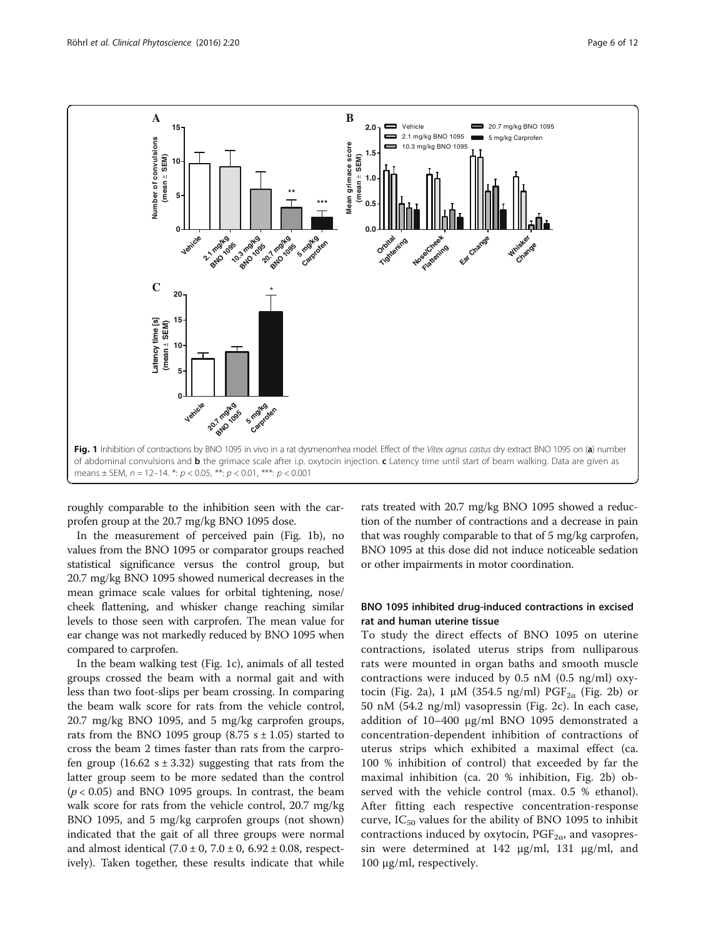<span id="page-5-0"></span>

roughly comparable to the inhibition seen with the carprofen group at the 20.7 mg/kg BNO 1095 dose.

In the measurement of perceived pain (Fig. 1b), no values from the BNO 1095 or comparator groups reached statistical significance versus the control group, but 20.7 mg/kg BNO 1095 showed numerical decreases in the mean grimace scale values for orbital tightening, nose/ cheek flattening, and whisker change reaching similar levels to those seen with carprofen. The mean value for ear change was not markedly reduced by BNO 1095 when compared to carprofen.

In the beam walking test (Fig. 1c), animals of all tested groups crossed the beam with a normal gait and with less than two foot-slips per beam crossing. In comparing the beam walk score for rats from the vehicle control, 20.7 mg/kg BNO 1095, and 5 mg/kg carprofen groups, rats from the BNO 1095 group (8.75  $s \pm 1.05$ ) started to cross the beam 2 times faster than rats from the carprofen group  $(16.62 \text{ s} \pm 3.32)$  suggesting that rats from the latter group seem to be more sedated than the control  $(p < 0.05)$  and BNO 1095 groups. In contrast, the beam walk score for rats from the vehicle control, 20.7 mg/kg BNO 1095, and 5 mg/kg carprofen groups (not shown) indicated that the gait of all three groups were normal and almost identical  $(7.0 \pm 0, 7.0 \pm 0, 6.92 \pm 0.08,$  respectively). Taken together, these results indicate that while rats treated with 20.7 mg/kg BNO 1095 showed a reduction of the number of contractions and a decrease in pain that was roughly comparable to that of 5 mg/kg carprofen, BNO 1095 at this dose did not induce noticeable sedation or other impairments in motor coordination.

## BNO 1095 inhibited drug-induced contractions in excised rat and human uterine tissue

To study the direct effects of BNO 1095 on uterine contractions, isolated uterus strips from nulliparous rats were mounted in organ baths and smooth muscle contractions were induced by 0.5 nM (0.5 ng/ml) oxy-tocin (Fig. [2a](#page-6-0)), 1  $\mu$ M (354.5 ng/ml) PGF<sub>2a</sub> (Fig. [2](#page-6-0)b) or 50 nM (54.2 ng/ml) vasopressin (Fig. [2c](#page-6-0)). In each case, addition of 10–400 μg/ml BNO 1095 demonstrated a concentration-dependent inhibition of contractions of uterus strips which exhibited a maximal effect (ca. 100 % inhibition of control) that exceeded by far the maximal inhibition (ca. 20 % inhibition, Fig. [2](#page-6-0)b) observed with the vehicle control (max. 0.5 % ethanol). After fitting each respective concentration-response curve,  $IC_{50}$  values for the ability of BNO 1095 to inhibit contractions induced by oxytocin,  $PGF_{2\alpha}$ , and vasopressin were determined at 142 μg/ml, 131 μg/ml, and 100 μg/ml, respectively.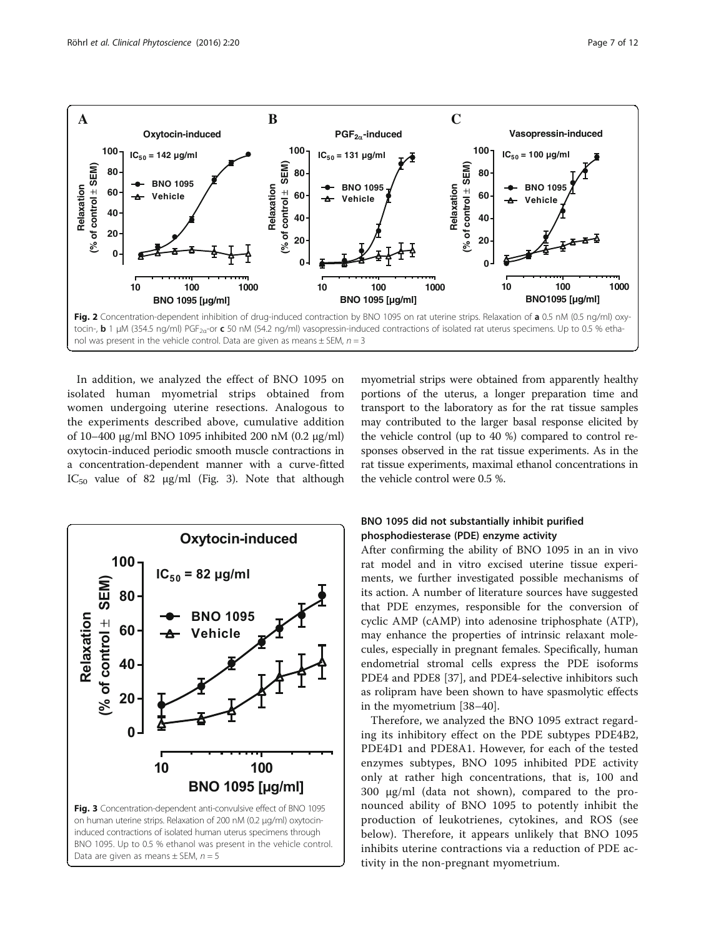<span id="page-6-0"></span>

In addition, we analyzed the effect of BNO 1095 on isolated human myometrial strips obtained from women undergoing uterine resections. Analogous to the experiments described above, cumulative addition of 10–400 μg/ml BNO 1095 inhibited 200 nM (0.2 μg/ml) oxytocin-induced periodic smooth muscle contractions in a concentration-dependent manner with a curve-fitted IC<sub>50</sub> value of 82  $\mu$ g/ml (Fig. 3). Note that although



myometrial strips were obtained from apparently healthy portions of the uterus, a longer preparation time and transport to the laboratory as for the rat tissue samples may contributed to the larger basal response elicited by the vehicle control (up to 40 %) compared to control responses observed in the rat tissue experiments. As in the rat tissue experiments, maximal ethanol concentrations in the vehicle control were 0.5 %.

## BNO 1095 did not substantially inhibit purified phosphodiesterase (PDE) enzyme activity

After confirming the ability of BNO 1095 in an in vivo rat model and in vitro excised uterine tissue experiments, we further investigated possible mechanisms of its action. A number of literature sources have suggested that PDE enzymes, responsible for the conversion of cyclic AMP (cAMP) into adenosine triphosphate (ATP), may enhance the properties of intrinsic relaxant molecules, especially in pregnant females. Specifically, human endometrial stromal cells express the PDE isoforms PDE4 and PDE8 [[37\]](#page-10-0), and PDE4-selective inhibitors such as rolipram have been shown to have spasmolytic effects in the myometrium [[38](#page-10-0)–[40](#page-10-0)].

Therefore, we analyzed the BNO 1095 extract regarding its inhibitory effect on the PDE subtypes PDE4B2, PDE4D1 and PDE8A1. However, for each of the tested enzymes subtypes, BNO 1095 inhibited PDE activity only at rather high concentrations, that is, 100 and 300 μg/ml (data not shown), compared to the pronounced ability of BNO 1095 to potently inhibit the production of leukotrienes, cytokines, and ROS (see below). Therefore, it appears unlikely that BNO 1095 inhibits uterine contractions via a reduction of PDE activity in the non-pregnant myometrium.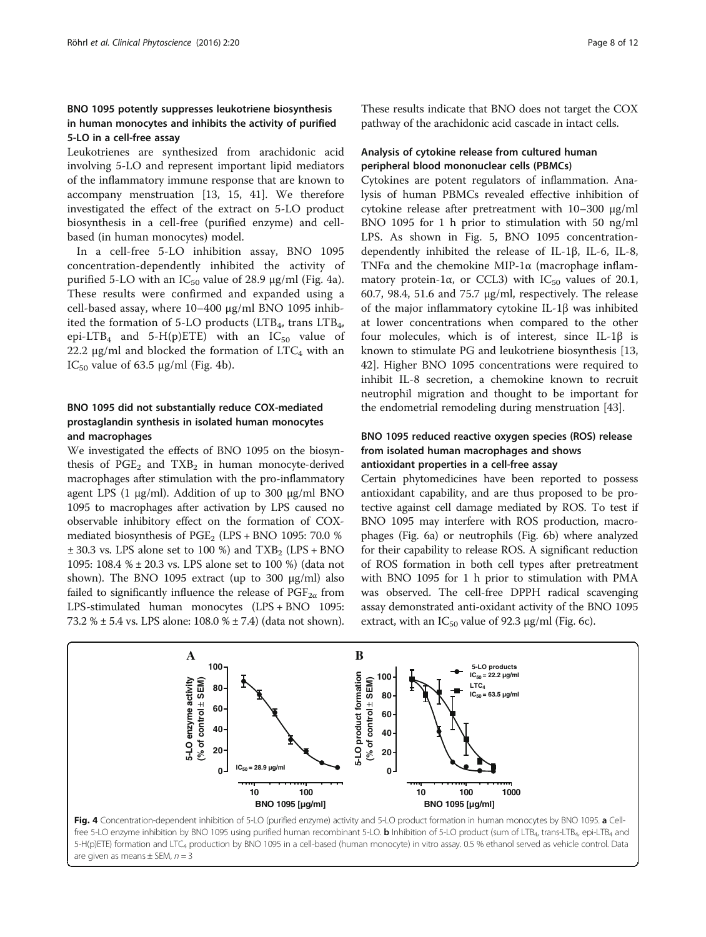## BNO 1095 potently suppresses leukotriene biosynthesis in human monocytes and inhibits the activity of purified 5-LO in a cell-free assay

Leukotrienes are synthesized from arachidonic acid involving 5-LO and represent important lipid mediators of the inflammatory immune response that are known to accompany menstruation [[13](#page-10-0), [15](#page-10-0), [41\]](#page-10-0). We therefore investigated the effect of the extract on 5-LO product biosynthesis in a cell-free (purified enzyme) and cellbased (in human monocytes) model.

In a cell-free 5-LO inhibition assay, BNO 1095 concentration-dependently inhibited the activity of purified 5-LO with an  $IC_{50}$  value of 28.9  $\mu$ g/ml (Fig. 4a). These results were confirmed and expanded using a cell-based assay, where 10–400 μg/ml BNO 1095 inhibited the formation of 5-LO products (LTB<sub>4</sub>, trans LTB<sub>4</sub>, epi-LTB<sub>4</sub> and 5-H(p)ETE) with an  $IC_{50}$  value of 22.2  $\mu$ g/ml and blocked the formation of LTC<sub>4</sub> with an IC<sub>50</sub> value of 63.5  $\mu$ g/ml (Fig. 4b).

## BNO 1095 did not substantially reduce COX-mediated prostaglandin synthesis in isolated human monocytes and macrophages

We investigated the effects of BNO 1095 on the biosynthesis of  $PGE_2$  and  $TXB_2$  in human monocyte-derived macrophages after stimulation with the pro-inflammatory agent LPS (1 μg/ml). Addition of up to 300 μg/ml BNO 1095 to macrophages after activation by LPS caused no observable inhibitory effect on the formation of COXmediated biosynthesis of  $PGE_2$  (LPS + BNO 1095: 70.0 %)  $\pm$  30.3 vs. LPS alone set to 100 %) and TXB<sub>2</sub> (LPS + BNO 1095: 108.4 % ± 20.3 vs. LPS alone set to 100 %) (data not shown). The BNO 1095 extract (up to 300 μg/ml) also failed to significantly influence the release of  $PGF_{2\alpha}$  from LPS-stimulated human monocytes (LPS + BNO 1095: 73.2 % ± 5.4 vs. LPS alone: 108.0 % ± 7.4) (data not shown). These results indicate that BNO does not target the COX pathway of the arachidonic acid cascade in intact cells.

## Analysis of cytokine release from cultured human peripheral blood mononuclear cells (PBMCs)

Cytokines are potent regulators of inflammation. Analysis of human PBMCs revealed effective inhibition of cytokine release after pretreatment with 10–300 μg/ml BNO 1095 for 1 h prior to stimulation with 50 ng/ml LPS. As shown in Fig. [5,](#page-8-0) BNO 1095 concentrationdependently inhibited the release of IL-1β, IL-6, IL-8, TNFα and the chemokine MIP-1α (macrophage inflammatory protein-1 $\alpha$ , or CCL3) with IC<sub>50</sub> values of 20.1, 60.7, 98.4, 51.6 and 75.7 μg/ml, respectively. The release of the major inflammatory cytokine IL-1β was inhibited at lower concentrations when compared to the other four molecules, which is of interest, since IL-1β is known to stimulate PG and leukotriene biosynthesis [[13](#page-10-0), [42\]](#page-10-0). Higher BNO 1095 concentrations were required to inhibit IL-8 secretion, a chemokine known to recruit neutrophil migration and thought to be important for the endometrial remodeling during menstruation [\[43](#page-10-0)].

## BNO 1095 reduced reactive oxygen species (ROS) release from isolated human macrophages and shows antioxidant properties in a cell-free assay

Certain phytomedicines have been reported to possess antioxidant capability, and are thus proposed to be protective against cell damage mediated by ROS. To test if BNO 1095 may interfere with ROS production, macrophages (Fig. [6a](#page-8-0)) or neutrophils (Fig. [6](#page-8-0)b) where analyzed for their capability to release ROS. A significant reduction of ROS formation in both cell types after pretreatment with BNO 1095 for 1 h prior to stimulation with PMA was observed. The cell-free DPPH radical scavenging assay demonstrated anti-oxidant activity of the BNO 1095 extract, with an  $IC_{50}$  value of 92.3  $\mu$ g/ml (Fig. [6](#page-8-0)c).



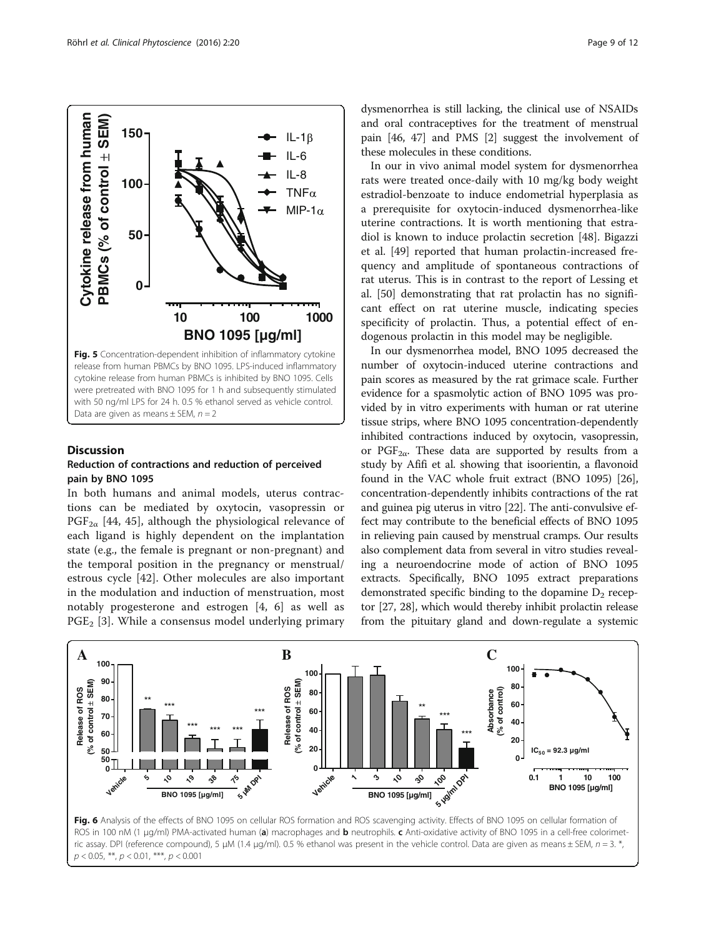**0**

**50**

**100**

Fig. 5 Concentration-dependent inhibition of inflammatory cytokine release from human PBMCs by BNO 1095. LPS-induced inflammatory cytokine release from human PBMCs is inhibited by BNO 1095. Cells were pretreated with BNO 1095 for 1 h and subsequently stimulated with 50 ng/ml LPS for 24 h. 0.5 % ethanol served as vehicle control. Data are given as means  $\pm$  SEM,  $n = 2$ 

**150** <del>↓</del> IL-1

IL-6 IL-8

MIP-1 $\alpha$ TNF $\alpha$ 

**BNO 1095 [µg/ml]**

**10 100 1000**

#### **Discussion**

**Cytokine release from human PBMCs (% of control SEM)**

<span id="page-8-0"></span>Cytokine release from human  $\mathsf{PBMCS}$  (% of control  $\pm$  SEM)

#### Reduction of contractions and reduction of perceived pain by BNO 1095

In both humans and animal models, uterus contractions can be mediated by oxytocin, vasopressin or  $PGF_{2\alpha}$  [[44,](#page-10-0) [45\]](#page-11-0), although the physiological relevance of each ligand is highly dependent on the implantation state (e.g., the female is pregnant or non-pregnant) and the temporal position in the pregnancy or menstrual/ estrous cycle [\[42](#page-10-0)]. Other molecules are also important in the modulation and induction of menstruation, most notably progesterone and estrogen [[4, 6\]](#page-10-0) as well as  $PGE<sub>2</sub>$  [[3\]](#page-10-0). While a consensus model underlying primary

dysmenorrhea is still lacking, the clinical use of NSAIDs and oral contraceptives for the treatment of menstrual pain [\[46, 47](#page-11-0)] and PMS [[2](#page-10-0)] suggest the involvement of these molecules in these conditions.

In our in vivo animal model system for dysmenorrhea rats were treated once-daily with 10 mg/kg body weight estradiol-benzoate to induce endometrial hyperplasia as a prerequisite for oxytocin-induced dysmenorrhea-like uterine contractions. It is worth mentioning that estradiol is known to induce prolactin secretion [\[48\]](#page-11-0). Bigazzi et al. [[49\]](#page-11-0) reported that human prolactin-increased frequency and amplitude of spontaneous contractions of rat uterus. This is in contrast to the report of Lessing et al. [\[50\]](#page-11-0) demonstrating that rat prolactin has no significant effect on rat uterine muscle, indicating species specificity of prolactin. Thus, a potential effect of endogenous prolactin in this model may be negligible.

In our dysmenorrhea model, BNO 1095 decreased the number of oxytocin-induced uterine contractions and pain scores as measured by the rat grimace scale. Further evidence for a spasmolytic action of BNO 1095 was provided by in vitro experiments with human or rat uterine tissue strips, where BNO 1095 concentration-dependently inhibited contractions induced by oxytocin, vasopressin, or PGF<sub>2 $\alpha$ </sub>. These data are supported by results from a study by Afifi et al. showing that isoorientin, a flavonoid found in the VAC whole fruit extract (BNO 1095) [[26](#page-10-0)], concentration-dependently inhibits contractions of the rat and guinea pig uterus in vitro [[22](#page-10-0)]. The anti-convulsive effect may contribute to the beneficial effects of BNO 1095 in relieving pain caused by menstrual cramps. Our results also complement data from several in vitro studies revealing a neuroendocrine mode of action of BNO 1095 extracts. Specifically, BNO 1095 extract preparations demonstrated specific binding to the dopamine  $D_2$  receptor [[27](#page-10-0), [28](#page-10-0)], which would thereby inhibit prolactin release from the pituitary gland and down-regulate a systemic



 $p < 0.05$ , \*\*,  $p < 0.01$ , \*\*\*,  $p < 0.001$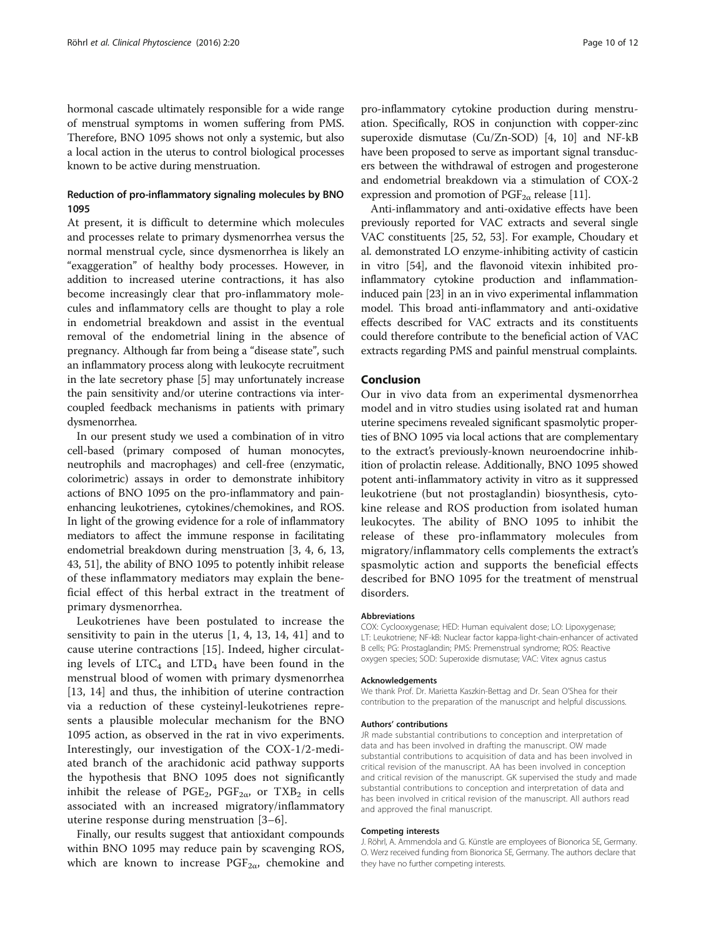hormonal cascade ultimately responsible for a wide range of menstrual symptoms in women suffering from PMS. Therefore, BNO 1095 shows not only a systemic, but also a local action in the uterus to control biological processes known to be active during menstruation.

### Reduction of pro-inflammatory signaling molecules by BNO 1095

At present, it is difficult to determine which molecules and processes relate to primary dysmenorrhea versus the normal menstrual cycle, since dysmenorrhea is likely an "exaggeration" of healthy body processes. However, in addition to increased uterine contractions, it has also become increasingly clear that pro-inflammatory molecules and inflammatory cells are thought to play a role in endometrial breakdown and assist in the eventual removal of the endometrial lining in the absence of pregnancy. Although far from being a "disease state", such an inflammatory process along with leukocyte recruitment in the late secretory phase [[5](#page-10-0)] may unfortunately increase the pain sensitivity and/or uterine contractions via intercoupled feedback mechanisms in patients with primary dysmenorrhea.

In our present study we used a combination of in vitro cell-based (primary composed of human monocytes, neutrophils and macrophages) and cell-free (enzymatic, colorimetric) assays in order to demonstrate inhibitory actions of BNO 1095 on the pro-inflammatory and painenhancing leukotrienes, cytokines/chemokines, and ROS. In light of the growing evidence for a role of inflammatory mediators to affect the immune response in facilitating endometrial breakdown during menstruation [[3, 4](#page-10-0), [6](#page-10-0), [13](#page-10-0), [43](#page-10-0), [51\]](#page-11-0), the ability of BNO 1095 to potently inhibit release of these inflammatory mediators may explain the beneficial effect of this herbal extract in the treatment of primary dysmenorrhea.

Leukotrienes have been postulated to increase the sensitivity to pain in the uterus [[1, 4](#page-10-0), [13](#page-10-0), [14, 41](#page-10-0)] and to cause uterine contractions [[15\]](#page-10-0). Indeed, higher circulating levels of  $LTC_4$  and  $LTD_4$  have been found in the menstrual blood of women with primary dysmenorrhea [[13, 14\]](#page-10-0) and thus, the inhibition of uterine contraction via a reduction of these cysteinyl-leukotrienes represents a plausible molecular mechanism for the BNO 1095 action, as observed in the rat in vivo experiments. Interestingly, our investigation of the COX-1/2-mediated branch of the arachidonic acid pathway supports the hypothesis that BNO 1095 does not significantly inhibit the release of PGE<sub>2</sub>, PGF<sub>2 $\alpha$ </sub>, or TXB<sub>2</sub> in cells associated with an increased migratory/inflammatory uterine response during menstruation [[3](#page-10-0)–[6\]](#page-10-0).

Finally, our results suggest that antioxidant compounds within BNO 1095 may reduce pain by scavenging ROS, which are known to increase  $PGF_{2\alpha}$ , chemokine and

pro-inflammatory cytokine production during menstruation. Specifically, ROS in conjunction with copper-zinc superoxide dismutase (Cu/Zn-SOD) [\[4](#page-10-0), [10\]](#page-10-0) and NF-kB have been proposed to serve as important signal transducers between the withdrawal of estrogen and progesterone and endometrial breakdown via a stimulation of COX-2 expression and promotion of  $PGF_{2\alpha}$  release [[11](#page-10-0)].

Anti-inflammatory and anti-oxidative effects have been previously reported for VAC extracts and several single VAC constituents [\[25,](#page-10-0) [52, 53](#page-11-0)]. For example, Choudary et al. demonstrated LO enzyme-inhibiting activity of casticin in vitro [[54](#page-11-0)], and the flavonoid vitexin inhibited proinflammatory cytokine production and inflammationinduced pain [\[23\]](#page-10-0) in an in vivo experimental inflammation model. This broad anti-inflammatory and anti-oxidative effects described for VAC extracts and its constituents could therefore contribute to the beneficial action of VAC extracts regarding PMS and painful menstrual complaints.

#### Conclusion

Our in vivo data from an experimental dysmenorrhea model and in vitro studies using isolated rat and human uterine specimens revealed significant spasmolytic properties of BNO 1095 via local actions that are complementary to the extract's previously-known neuroendocrine inhibition of prolactin release. Additionally, BNO 1095 showed potent anti-inflammatory activity in vitro as it suppressed leukotriene (but not prostaglandin) biosynthesis, cytokine release and ROS production from isolated human leukocytes. The ability of BNO 1095 to inhibit the release of these pro-inflammatory molecules from migratory/inflammatory cells complements the extract's spasmolytic action and supports the beneficial effects described for BNO 1095 for the treatment of menstrual disorders.

#### Abbreviations

COX: Cyclooxygenase; HED: Human equivalent dose; LO: Lipoxygenase; LT: Leukotriene; NF-kB: Nuclear factor kappa-light-chain-enhancer of activated B cells; PG: Prostaglandin; PMS: Premenstrual syndrome; ROS: Reactive oxygen species; SOD: Superoxide dismutase; VAC: Vitex agnus castus

#### Acknowledgements

We thank Prof. Dr. Marietta Kaszkin-Bettag and Dr. Sean O'Shea for their contribution to the preparation of the manuscript and helpful discussions.

#### Authors' contributions

JR made substantial contributions to conception and interpretation of data and has been involved in drafting the manuscript. OW made substantial contributions to acquisition of data and has been involved in critical revision of the manuscript. AA has been involved in conception and critical revision of the manuscript. GK supervised the study and made substantial contributions to conception and interpretation of data and has been involved in critical revision of the manuscript. All authors read and approved the final manuscript.

#### Competing interests

J. Röhrl, A. Ammendola and G. Künstle are employees of Bionorica SE, Germany. O. Werz received funding from Bionorica SE, Germany. The authors declare that they have no further competing interests.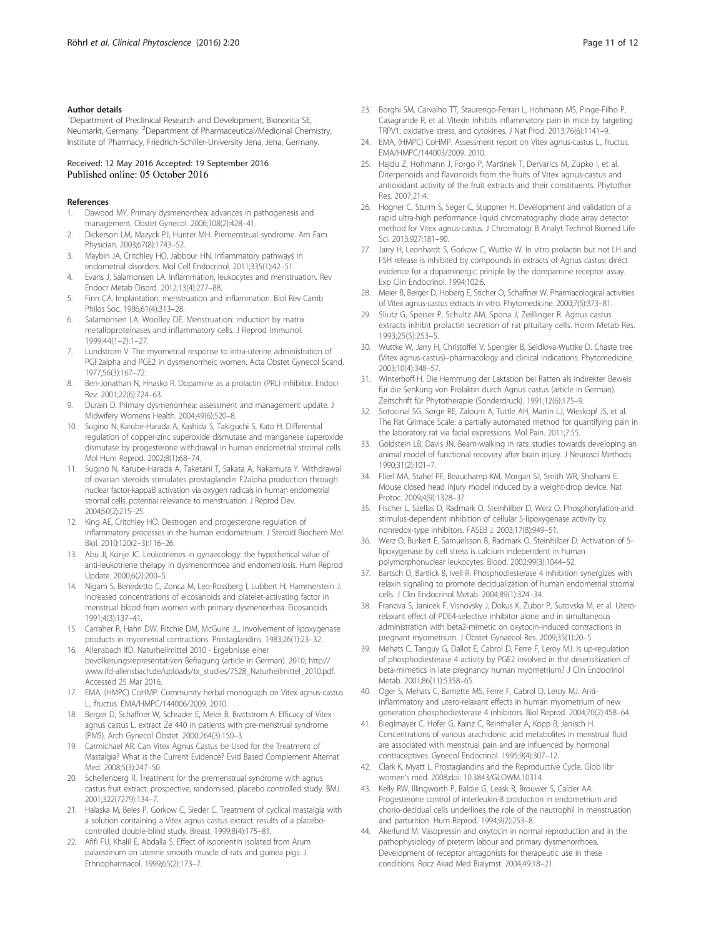#### <span id="page-10-0"></span>Author details

<sup>1</sup>Department of Preclinical Research and Development, Bionorica SE, Neumarkt, Germany. <sup>2</sup>Department of Pharmaceutical/Medicinal Chemistry, Institute of Pharmacy, Friedrich-Schiller-University Jena, Jena, Germany.

#### Received: 12 May 2016 Accepted: 19 September 2016 Published online: 05 October 2016

#### References

- 1. Dawood MY. Primary dysmenorrhea: advances in pathogenesis and management. Obstet Gynecol. 2006;108(2):428–41.
- 2. Dickerson LM, Mazyck PJ, Hunter MH. Premenstrual syndrome. Am Fam Physician. 2003;67(8):1743–52.
- 3. Maybin JA, Critchley HO, Jabbour HN. Inflammatory pathways in endometrial disorders. Mol Cell Endocrinol. 2011;335(1):42–51.
- 4. Evans J, Salamonsen LA. Inflammation, leukocytes and menstruation. Rev Endocr Metab Disord. 2012;13(4):277–88.
- 5. Finn CA. Implantation, menstruation and inflammation. Biol Rev Camb Philos Soc. 1986;61(4):313–28.
- 6. Salamonsen LA, Woolley DE. Menstruation: induction by matrix metalloproteinases and inflammatory cells. J Reprod Immunol. 1999;44(1–2):1–27.
- 7. Lundstrom V. The myometrial response to intra-uterine administration of PGF2alpha and PGE2 in dysmenorrheic women. Acta Obstet Gynecol Scand. 1977;56(3):167–72.
- 8. Ben-Jonathan N, Hnasko R. Dopamine as a prolactin (PRL) inhibitor. Endocr Rev. 2001;22(6):724–63.
- Durain D. Primary dysmenorrhea: assessment and management update. J Midwifery Womens Health. 2004;49(6):520–8.
- 10. Sugino N, Karube-Harada A, Kashida S, Takiguchi S, Kato H. Differential regulation of copper-zinc superoxide dismutase and manganese superoxide dismutase by progesterone withdrawal in human endometrial stromal cells. Mol Hum Reprod. 2002;8(1):68–74.
- 11. Sugino N, Karube-Harada A, Taketani T, Sakata A, Nakamura Y. Withdrawal of ovarian steroids stimulates prostaglandin F2alpha production through nuclear factor-kappaB activation via oxygen radicals in human endometrial stromal cells: potential relevance to menstruation. J Reprod Dev. 2004;50(2):215–25.
- 12. King AE, Critchley HO. Oestrogen and progesterone regulation of inflammatory processes in the human endometrium. J Steroid Biochem Mol Biol. 2010;120(2–3):116–26.
- 13. Abu JI, Konje JC. Leukotrienes in gynaecology: the hypothetical value of anti-leukotriene therapy in dysmenorrhoea and endometriosis. Hum Reprod Update. 2000;6(2):200–5.
- 14. Nigam S, Benedetto C, Zonca M, Leo-Rossberg I, Lubbert H, Hammerstein J. Increased concentrations of eicosanoids and platelet-activating factor in menstrual blood from women with primary dysmenorrhea. Eicosanoids. 1991;4(3):137–41.
- 15. Carraher R, Hahn DW, Ritchie DM, McGuire JL. Involvement of lipoxygenase products in myometrial contractions. Prostaglandins. 1983;26(1):23–32.
- 16. Allensbach IfD. Naturheilmittel 2010 Ergebnisse einer bevölkerungsrepresentativen Befragung (article in German). 2010; [http://](http://www.ifd-allensbach.de/uploads/tx_studies/7528_Naturheilmittel_2010.pdf) [www.ifd-allensbach.de/uploads/tx\\_studies/7528\\_Naturheilmittel\\_2010.pdf.](http://www.ifd-allensbach.de/uploads/tx_studies/7528_Naturheilmittel_2010.pdf) Accessed 25 Mar 2016.
- 17. EMA, (HMPC) CoHMP. Community herbal monograph on Vitex agnus-castus L., fructus. EMA/HMPC/144006/2009. 2010.
- 18. Berger D, Schaffner W, Schrader E, Meier B, Brattstrom A. Efficacy of Vitex agnus castus L. extract Ze 440 in patients with pre-menstrual syndrome (PMS). Arch Gynecol Obstet. 2000;264(3):150–3.
- 19. Carmichael AR. Can Vitex Agnus Castus be Used for the Treatment of Mastalgia? What is the Current Evidence? Evid Based Complement Alternat Med. 2008;5(3):247–50.
- 20. Schellenberg R. Treatment for the premenstrual syndrome with agnus castus fruit extract: prospective, randomised, placebo controlled study. BMJ. 2001;322(7279):134–7.
- 21. Halaska M, Beles P, Gorkow C, Sieder C. Treatment of cyclical mastalgia with a solution containing a Vitex agnus castus extract: results of a placebocontrolled double-blind study. Breast. 1999;8(4):175–81.
- 22. Afifi FU, Khalil E, Abdalla S. Effect of isoorientin isolated from Arum palaestinum on uterine smooth muscle of rats and guinea pigs. J Ethnopharmacol. 1999;65(2):173–7.
- 23. Borghi SM, Carvalho TT, Staurengo-Ferrari L, Hohmann MS, Pinge-Filho P, Casagrande R, et al. Vitexin inhibits inflammatory pain in mice by targeting TRPV1, oxidative stress, and cytokines. J Nat Prod. 2013;76(6):1141–9.
- 24. EMA, (HMPC) CoHMP. Assessment report on Vitex agnus-castus L., fructus. EMA/HMPC/144003/2009. 2010.
- 25. Hajdu Z, Hohmann J, Forgo P, Martinek T, Dervarics M, Zupko I, et al. Diterpenoids and flavonoids from the fruits of Vitex agnus-castus and antioxidant activity of the fruit extracts and their constituents. Phytother Res. 2007;21:4.
- 26. Hogner C, Sturm S, Seger C, Stuppner H. Development and validation of a rapid ultra-high performance liquid chromatography diode array detector method for Vitex agnus-castus. J Chromatogr B Analyt Technol Biomed Life Sci. 2013;927:181–90.
- 27. Jarry H, Leonhardt S, Gorkow C, Wuttke W. In vitro prolactin but not LH and FSH release is inhibited by compounds in extracts of Agnus castus: direct evidence for a dopaminergic priniple by the dompamine receptor assay. Exp Clin Endocrinol. 1994;102:6.
- 28. Meier B, Berger D, Hoberg E, Sticher O, Schaffner W. Pharmacological activities of Vitex agnus-castus extracts in vitro. Phytomedicine. 2000;7(5):373–81.
- 29. Sliutz G, Speiser P, Schultz AM, Spona J, Zeillinger R. Agnus castus extracts inhibit prolactin secretion of rat pituitary cells. Horm Metab Res. 1993;25(5):253–5.
- 30. Wuttke W, Jarry H, Christoffel V, Spengler B, Seidlova-Wuttke D. Chaste tree (Vitex agnus-castus)–pharmacology and clinical indications. Phytomedicine. 2003;10(4):348–57.
- 31. Winterhoff H. Die Hemmung der Laktation bei Ratten als indirekter Beweis für die Senkung von Prolaktin durch Agnus castus (article in German). Zeitschrift für Phytotherapie (Sonderdruck). 1991;12(6):175–9.
- 32. Sotocinal SG, Sorge RE, Zaloum A, Tuttle AH, Martin LJ, Wieskopf JS, et al. The Rat Grimace Scale: a partially automated method for quantifying pain in the laboratory rat via facial expressions. Mol Pain. 2011;7:55.
- 33. Goldstein LB, Davis JN. Beam-walking in rats: studies towards developing an animal model of functional recovery after brain injury. J Neurosci Methods. 1990;31(2):101–7.
- 34. Flierl MA, Stahel PF, Beauchamp KM, Morgan SJ, Smith WR, Shohami E. Mouse closed head injury model induced by a weight-drop device. Nat Protoc. 2009;4(9):1328–37.
- 35. Fischer L, Szellas D, Radmark O, Steinhilber D, Werz O. Phosphorylation-and stimulus-dependent inhibition of cellular 5-lipoxygenase activity by nonredox-type inhibitors. FASEB J. 2003;17(8):949–51.
- 36. Werz O, Burkert E, Samuelsson B, Radmark O, Steinhilber D. Activation of 5 lipoxygenase by cell stress is calcium independent in human polymorphonuclear leukocytes. Blood. 2002;99(3):1044–52.
- 37. Bartsch O, Bartlick B, Ivell R. Phosphodiesterase 4 inhibition synergizes with relaxin signaling to promote decidualization of human endometrial stromal cells. J Clin Endocrinol Metab. 2004;89(1):324–34.
- 38. Franova S, Janicek F, Visnovsky J, Dokus K, Zubor P, Sutovska M, et al. Uterorelaxant effect of PDE4-selective inhibitor alone and in simultaneous administration with beta2-mimetic on oxytocin-induced contractions in pregnant myometrium. J Obstet Gynaecol Res. 2009;35(1):20–5.
- 39. Mehats C, Tanguy G, Dallot E, Cabrol D, Ferre F, Leroy MJ. Is up-regulation of phosphodiesterase 4 activity by PGE2 involved in the desensitization of beta-mimetics in late pregnancy human myometrium? J Clin Endocrinol Metab. 2001;86(11):5358–65.
- 40. Oger S, Mehats C, Barnette MS, Ferre F, Cabrol D, Leroy MJ. Antiinflammatory and utero-relaxant effects in human myometrium of new generation phosphodiesterase 4 inhibitors. Biol Reprod. 2004;70(2):458–64.
- 41. Bieglmayer C, Hofer G, Kainz C, Reinthaller A, Kopp B, Janisch H. Concentrations of various arachidonic acid metabolites in menstrual fluid are associated with menstrual pain and are influenced by hormonal contraceptives. Gynecol Endocrinol. 1995;9(4):307–12.
- 42. Clark K, Myatt L. Prostaglandins and the Reproductive Cycle. Glob libr women's med. 2008;doi: [10.3843/GLOWM.10314](http://dx.doi.org/10.3843/GLOWM.10314).
- 43. Kelly RW, Illingworth P, Baldie G, Leask R, Brouwer S, Calder AA. Progesterone control of interleukin-8 production in endometrium and chorio-decidual cells underlines the role of the neutrophil in menstruation and parturition. Hum Reprod. 1994;9(2):253–8.
- 44. Akerlund M. Vasopressin and oxytocin in normal reproduction and in the pathophysiology of preterm labour and primary dysmenorrhoea. Development of receptor antagonists for therapeutic use in these conditions. Rocz Akad Med Bialymst. 2004;49:18–21.